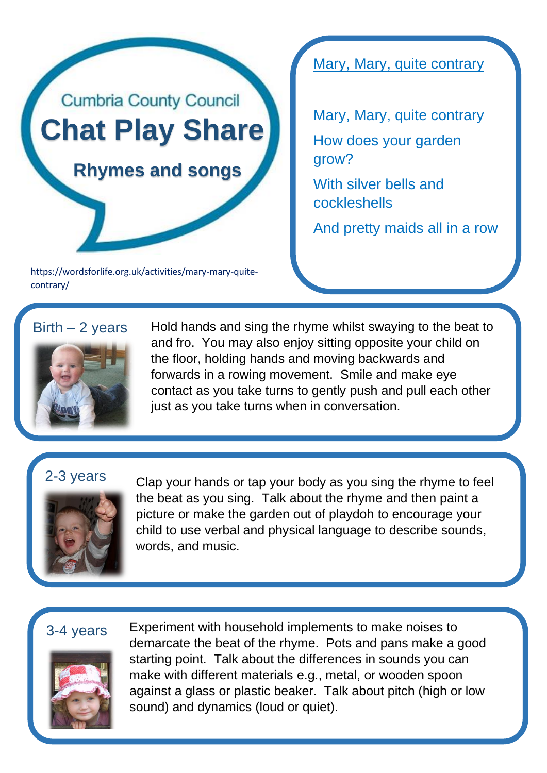

https://wordsforlife.org.uk/activities/mary-mary-quitecontrary/

Mary, Mary, quite contrary

Mary, Mary, quite contrary How does your garden grow? With silver bells and cockleshells

And pretty maids all in a row

## $Birth - 2 years$



Hold hands and sing the rhyme whilst swaying to the beat to and fro. You may also enjoy sitting opposite your child on the floor, holding hands and moving backwards and forwards in a rowing movement. Smile and make eye contact as you take turns to gently push and pull each other just as you take turns when in conversation.

## 2-3 years



Clap your hands or tap your body as you sing the rhyme to feel the beat as you sing. Talk about the rhyme and then paint a picture or make the garden out of playdoh to encourage your child to use verbal and physical language to describe sounds, words, and music.

## 3-4 years



Experiment with household implements to make noises to demarcate the beat of the rhyme. Pots and pans make a good starting point. Talk about the differences in sounds you can make with different materials e.g., metal, or wooden spoon against a glass or plastic beaker. Talk about pitch (high or low sound) and dynamics (loud or quiet).